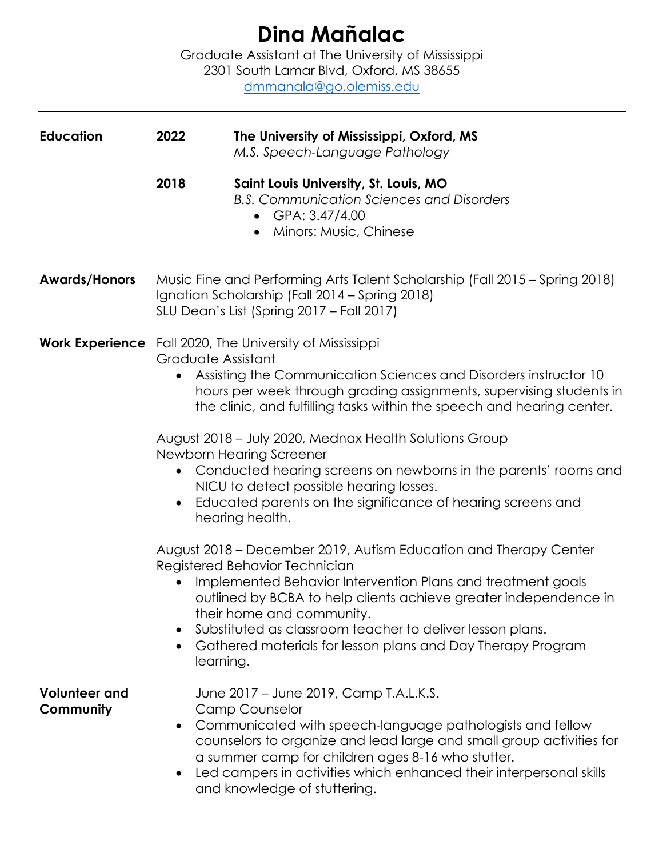## **Dina Mañalac**

Graduate Assistant at The University of Mississippi 2301 South Lamar Blvd, Oxford, MS 38655 dmmanala@go.olemiss.edu

| <b>Education</b>                  | 2022                                                                                                                                                                                                                                                                                                                                                                                                                                                                                                                                                                                                                                                                                                                                                                                                                                                                                                                                                                                                                         | The University of Mississippi, Oxford, MS<br>M.S. Speech-Language Pathology                                                                                                                                                                                                                                                                                      |
|-----------------------------------|------------------------------------------------------------------------------------------------------------------------------------------------------------------------------------------------------------------------------------------------------------------------------------------------------------------------------------------------------------------------------------------------------------------------------------------------------------------------------------------------------------------------------------------------------------------------------------------------------------------------------------------------------------------------------------------------------------------------------------------------------------------------------------------------------------------------------------------------------------------------------------------------------------------------------------------------------------------------------------------------------------------------------|------------------------------------------------------------------------------------------------------------------------------------------------------------------------------------------------------------------------------------------------------------------------------------------------------------------------------------------------------------------|
|                                   | 2018                                                                                                                                                                                                                                                                                                                                                                                                                                                                                                                                                                                                                                                                                                                                                                                                                                                                                                                                                                                                                         | Saint Louis University, St. Louis, MO<br><b>B.S. Communication Sciences and Disorders</b><br>• GPA: $3.47/4.00$<br>Minors: Music, Chinese                                                                                                                                                                                                                        |
| <b>Awards/Honors</b>              | Music Fine and Performing Arts Talent Scholarship (Fall 2015 - Spring 2018)<br>Ignatian Scholarship (Fall 2014 – Spring 2018)<br>SLU Dean's List (Spring 2017 - Fall 2017)                                                                                                                                                                                                                                                                                                                                                                                                                                                                                                                                                                                                                                                                                                                                                                                                                                                   |                                                                                                                                                                                                                                                                                                                                                                  |
|                                   | <b>Work Experience</b> Fall 2020, The University of Mississippi<br>Graduate Assistant<br>Assisting the Communication Sciences and Disorders instructor 10<br>hours per week through grading assignments, supervising students in<br>the clinic, and fulfilling tasks within the speech and hearing center.<br>August 2018 - July 2020, Mednax Health Solutions Group<br>Newborn Hearing Screener<br>Conducted hearing screens on newborns in the parents' rooms and<br>NICU to detect possible hearing losses.<br>Educated parents on the significance of hearing screens and<br>$\bullet$<br>hearing health.<br>August 2018 – December 2019, Autism Education and Therapy Center<br>Registered Behavior Technician<br>Implemented Behavior Intervention Plans and treatment goals<br>outlined by BCBA to help clients achieve greater independence in<br>their home and community.<br>Substituted as classroom teacher to deliver lesson plans.<br>Gathered materials for lesson plans and Day Therapy Program<br>learning. |                                                                                                                                                                                                                                                                                                                                                                  |
| <b>Volunteer and</b><br>Community | $\bullet$<br>$\bullet$                                                                                                                                                                                                                                                                                                                                                                                                                                                                                                                                                                                                                                                                                                                                                                                                                                                                                                                                                                                                       | June 2017 – June 2019, Camp T.A.L.K.S.<br><b>Camp Counselor</b><br>Communicated with speech-language pathologists and fellow<br>counselors to organize and lead large and small group activities for<br>a summer camp for children ages 8-16 who stutter.<br>Led campers in activities which enhanced their interpersonal skills<br>and knowledge of stuttering. |